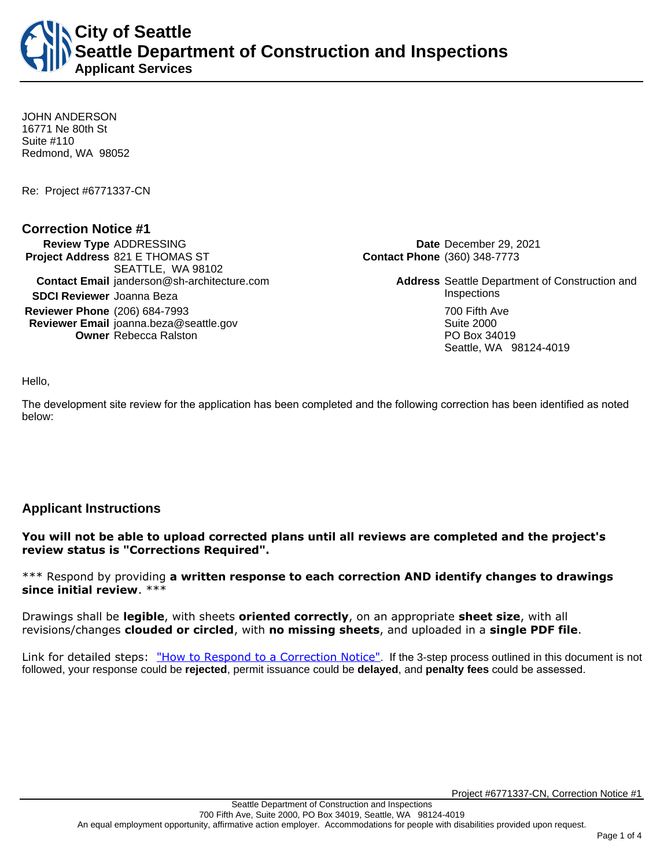**City of Seattle Seattle Department of Construction and Inspections Applicant Services**

JOHN ANDERSON 16771 Ne 80th St Suite #110 Redmond, WA 98052

Re: Project #6771337-CN

### **Correction Notice #1**

**Review Type** ADDRESSING **Date** December 29, 2021 **Project Address** 821 E THOMAS ST SEATTLE, WA 98102 **Contact Email** janderson@sh-architecture.com **Address** Seattle Department of Construction and **SDCI Reviewer** Joanna Beza **Inspections** Inspections **Reviewer Phone** (206) 684-7993 **700 Fifth Ave Reviewer Email** joanna.beza@seattle.gov Suite 2000 **Owner** Rebecca Ralston **PO Box 34019** 

**Contact Phone** (360) 348-7773

Seattle, WA 98124-4019

Hello,

The development site review for the application has been completed and the following correction has been identified as noted below:

## **Applicant Instructions**

**You will not be able to upload corrected plans until all reviews are completed and the project's review status is "Corrections Required".**

\*\*\* Respond by providing **a written response to each correction AND identify changes to drawings since initial review**. \*\*\*

Drawings shall be **legible**, with sheets **oriented correctly**, on an appropriate **sheet size**, with all revisions/changes **clouded or circled**, with **no missing sheets**, and uploaded in a **single PDF file**.

Link for detailed steps: ["How to Respond to a Correction Notice"](http://www.seattle.gov/documents/Departments/SDCI/Permits/HowtoRespondSDCICorrectionNotice.pdf). If the 3-step process outlined in this document is not followed, your response could be **rejected**, permit issuance could be **delayed**, and **penalty fees** could be assessed.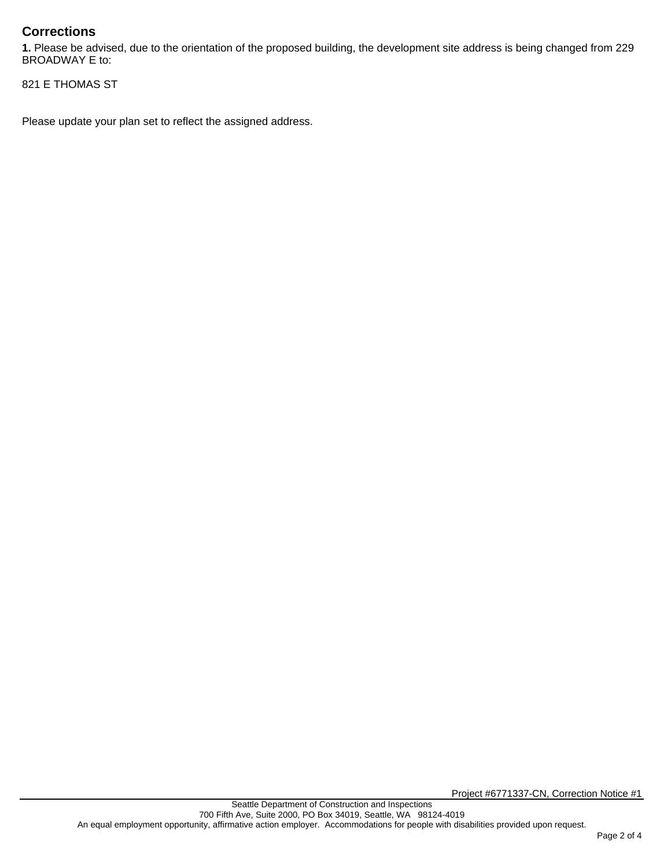# **Corrections**

**1.** Please be advised, due to the orientation of the proposed building, the development site address is being changed from 229 BROADWAY E to:

821 E THOMAS ST

Please update your plan set to reflect the assigned address.

Project #6771337-CN, Correction Notice #1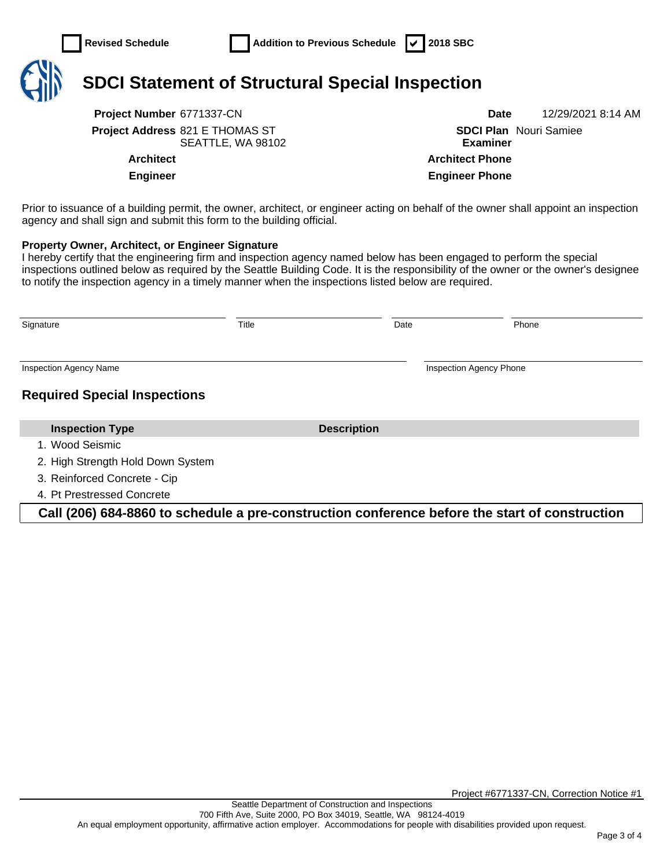

# **SDCI Statement of Structural Special Inspection**

**Project Number** 6771337-CN **Date** 12/29/2021 8:14 AM **Project Address** 821 E THOMAS ST SEATTLE, WA 98102

**SDCI Plan**  Nouri Samiee **Examiner Architect Architect Phone Engineer Engineer Phone**

Prior to issuance of a building permit, the owner, architect, or engineer acting on behalf of the owner shall appoint an inspection agency and shall sign and submit this form to the building official.

### **Property Owner, Architect, or Engineer Signature**

I hereby certify that the engineering firm and inspection agency named below has been engaged to perform the special inspections outlined below as required by the Seattle Building Code. It is the responsibility of the owner or the owner's designee to notify the inspection agency in a timely manner when the inspections listed below are required.

| Signature                           | Title |                    | Date | Phone                          |
|-------------------------------------|-------|--------------------|------|--------------------------------|
| <b>Inspection Agency Name</b>       |       |                    |      | <b>Inspection Agency Phone</b> |
| <b>Required Special Inspections</b> |       |                    |      |                                |
| <b>Inspection Type</b>              |       | <b>Description</b> |      |                                |
| 1. Wood Seismic                     |       |                    |      |                                |
| 2. High Strength Hold Down System   |       |                    |      |                                |
| 3. Reinforced Concrete - Cip        |       |                    |      |                                |
| 4. Pt Prestressed Concrete          |       |                    |      |                                |

**Call (206) 684-8860 to schedule a pre-construction conference before the start of construction**